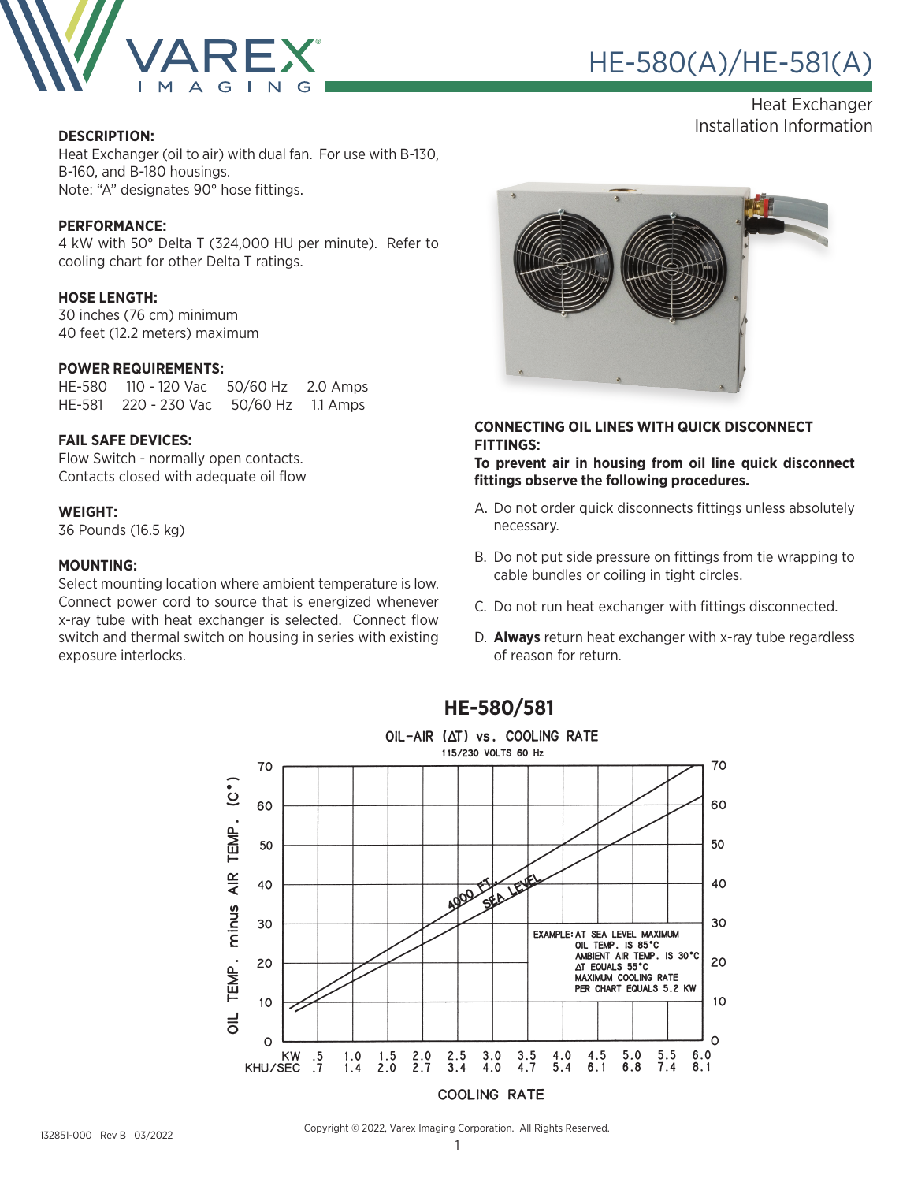

# HE-580(A)/HE-581(A) ®

Heat Exchanger Installation Information **DESCRIPTION:**

Heat Exchanger (oil to air) with dual fan. For use with B-130, B-160, and B-180 housings. Note: "A" designates 90° hose fittings.

#### **PERFORMANCE:**

4 kW with 50° Delta T (324,000 HU per minute). Refer to cooling chart for other Delta T ratings.

#### **HOSE LENGTH:**

30 inches (76 cm) minimum 40 feet (12.2 meters) maximum

#### **POWER REQUIREMENTS:**

HE-580 110 - 120 Vac 50/60 Hz 2.0 Amps HE-581 220 - 230 Vac 50/60 Hz 1.1 Amps

#### **FAIL SAFE DEVICES:**

Flow Switch - normally open contacts. Contacts closed with adequate oil flow

#### **WEIGHT:**

36 Pounds (16.5 kg)

#### **MOUNTING:**

Select mounting location where ambient temperature is low. Connect power cord to source that is energized whenever x-ray tube with heat exchanger is selected. Connect flow switch and thermal switch on housing in series with existing exposure interlocks.



#### **CONNECTING OIL LINES WITH QUICK DISCONNECT FITTINGS:**

**To prevent air in housing from oil line quick disconnect fittings observe the following procedures.**

- A. Do not order quick disconnects fittings unless absolutely necessary.
- B. Do not put side pressure on fittings from tie wrapping to cable bundles or coiling in tight circles.
- C. Do not run heat exchanger with fittings disconnected.
- D. **Always** return heat exchanger with x-ray tube regardless of reason for return.



### **HE-580/581**

132851-000 Rev B 03/2022

Copyright © 2022, Varex Imaging Corporation. All Rights Reserved.